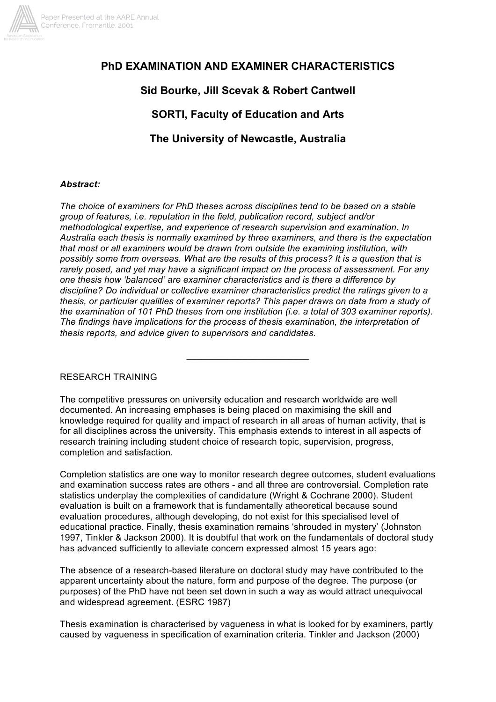

# **PhD EXAMINATION AND EXAMINER CHARACTERISTICS**

## **Sid Bourke, Jill Scevak & Robert Cantwell**

# **SORTI, Faculty of Education and Arts**

**The University of Newcastle, Australia**

#### *Abstract:*

*The choice of examiners for PhD theses across disciplines tend to be based on a stable group of features, i.e. reputation in the field, publication record, subject and/or methodological expertise, and experience of research supervision and examination. In Australia each thesis is normally examined by three examiners, and there is the expectation that most or all examiners would be drawn from outside the examining institution, with possibly some from overseas. What are the results of this process? It is a question that is rarely posed, and yet may have a significant impact on the process of assessment. For any one thesis how 'balanced' are examiner characteristics and is there a difference by discipline? Do individual or collective examiner characteristics predict the ratings given to a thesis, or particular qualities of examiner reports? This paper draws on data from a study of the examination of 101 PhD theses from one institution (i.e. a total of 303 examiner reports). The findings have implications for the process of thesis examination, the interpretation of thesis reports, and advice given to supervisors and candidates.*

RESEARCH TRAINING

The competitive pressures on university education and research worldwide are well documented. An increasing emphases is being placed on maximising the skill and knowledge required for quality and impact of research in all areas of human activity, that is for all disciplines across the university. This emphasis extends to interest in all aspects of research training including student choice of research topic, supervision, progress, completion and satisfaction.

 $\overline{\phantom{a}}$  , which is a set of the set of the set of the set of the set of the set of the set of the set of the set of the set of the set of the set of the set of the set of the set of the set of the set of the set of th

Completion statistics are one way to monitor research degree outcomes, student evaluations and examination success rates are others - and all three are controversial. Completion rate statistics underplay the complexities of candidature (Wright & Cochrane 2000). Student evaluation is built on a framework that is fundamentally atheoretical because sound evaluation procedures, although developing, do not exist for this specialised level of educational practice. Finally, thesis examination remains 'shrouded in mystery' (Johnston 1997, Tinkler & Jackson 2000). It is doubtful that work on the fundamentals of doctoral study has advanced sufficiently to alleviate concern expressed almost 15 years ago:

The absence of a research-based literature on doctoral study may have contributed to the apparent uncertainty about the nature, form and purpose of the degree. The purpose (or purposes) of the PhD have not been set down in such a way as would attract unequivocal and widespread agreement. (ESRC 1987)

Thesis examination is characterised by vagueness in what is looked for by examiners, partly caused by vagueness in specification of examination criteria. Tinkler and Jackson (2000)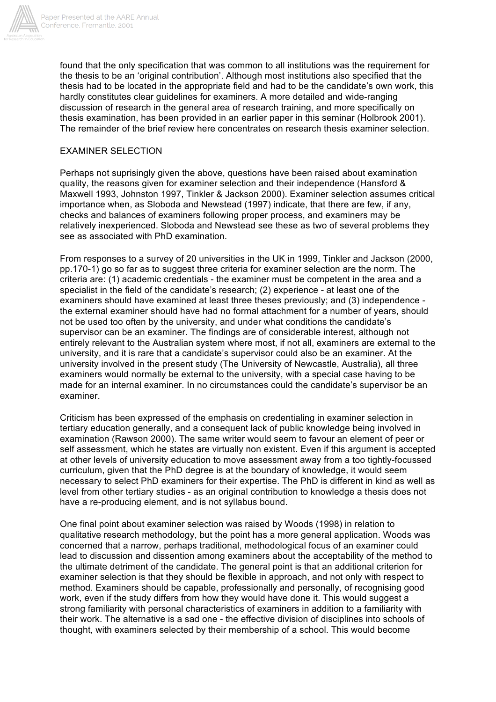

found that the only specification that was common to all institutions was the requirement for the thesis to be an 'original contribution'. Although most institutions also specified that the thesis had to be located in the appropriate field and had to be the candidate's own work, this hardly constitutes clear guidelines for examiners. A more detailed and wide-ranging discussion of research in the general area of research training, and more specifically on thesis examination, has been provided in an earlier paper in this seminar (Holbrook 2001). The remainder of the brief review here concentrates on research thesis examiner selection.

#### EXAMINER SELECTION

Perhaps not suprisingly given the above, questions have been raised about examination quality, the reasons given for examiner selection and their independence (Hansford & Maxwell 1993, Johnston 1997, Tinkler & Jackson 2000). Examiner selection assumes critical importance when, as Sloboda and Newstead (1997) indicate, that there are few, if any, checks and balances of examiners following proper process, and examiners may be relatively inexperienced. Sloboda and Newstead see these as two of several problems they see as associated with PhD examination.

From responses to a survey of 20 universities in the UK in 1999, Tinkler and Jackson (2000, pp.170-1) go so far as to suggest three criteria for examiner selection are the norm. The criteria are: (1) academic credentials - the examiner must be competent in the area and a specialist in the field of the candidate's research; (2) experience - at least one of the examiners should have examined at least three theses previously; and (3) independence the external examiner should have had no formal attachment for a number of years, should not be used too often by the university, and under what conditions the candidate's supervisor can be an examiner. The findings are of considerable interest, although not entirely relevant to the Australian system where most, if not all, examiners are external to the university, and it is rare that a candidate's supervisor could also be an examiner. At the university involved in the present study (The University of Newcastle, Australia), all three examiners would normally be external to the university, with a special case having to be made for an internal examiner. In no circumstances could the candidate's supervisor be an examiner.

Criticism has been expressed of the emphasis on credentialing in examiner selection in tertiary education generally, and a consequent lack of public knowledge being involved in examination (Rawson 2000). The same writer would seem to favour an element of peer or self assessment, which he states are virtually non existent. Even if this argument is accepted at other levels of university education to move assessment away from a too tightly-focussed curriculum, given that the PhD degree is at the boundary of knowledge, it would seem necessary to select PhD examiners for their expertise. The PhD is different in kind as well as level from other tertiary studies - as an original contribution to knowledge a thesis does not have a re-producing element, and is not syllabus bound.

One final point about examiner selection was raised by Woods (1998) in relation to qualitative research methodology, but the point has a more general application. Woods was concerned that a narrow, perhaps traditional, methodological focus of an examiner could lead to discussion and dissention among examiners about the acceptability of the method to the ultimate detriment of the candidate. The general point is that an additional criterion for examiner selection is that they should be flexible in approach, and not only with respect to method. Examiners should be capable, professionally and personally, of recognising good work, even if the study differs from how they would have done it. This would suggest a strong familiarity with personal characteristics of examiners in addition to a familiarity with their work. The alternative is a sad one - the effective division of disciplines into schools of thought, with examiners selected by their membership of a school. This would become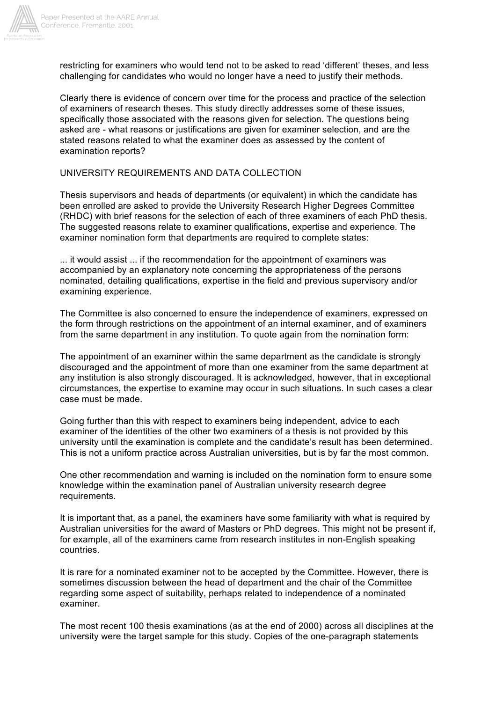

restricting for examiners who would tend not to be asked to read 'different' theses, and less challenging for candidates who would no longer have a need to justify their methods.

Clearly there is evidence of concern over time for the process and practice of the selection of examiners of research theses. This study directly addresses some of these issues, specifically those associated with the reasons given for selection. The questions being asked are - what reasons or justifications are given for examiner selection, and are the stated reasons related to what the examiner does as assessed by the content of examination reports?

#### UNIVERSITY REQUIREMENTS AND DATA COLLECTION

Thesis supervisors and heads of departments (or equivalent) in which the candidate has been enrolled are asked to provide the University Research Higher Degrees Committee (RHDC) with brief reasons for the selection of each of three examiners of each PhD thesis. The suggested reasons relate to examiner qualifications, expertise and experience. The examiner nomination form that departments are required to complete states:

... it would assist ... if the recommendation for the appointment of examiners was accompanied by an explanatory note concerning the appropriateness of the persons nominated, detailing qualifications, expertise in the field and previous supervisory and/or examining experience.

The Committee is also concerned to ensure the independence of examiners, expressed on the form through restrictions on the appointment of an internal examiner, and of examiners from the same department in any institution. To quote again from the nomination form:

The appointment of an examiner within the same department as the candidate is strongly discouraged and the appointment of more than one examiner from the same department at any institution is also strongly discouraged. It is acknowledged, however, that in exceptional circumstances, the expertise to examine may occur in such situations. In such cases a clear case must be made.

Going further than this with respect to examiners being independent, advice to each examiner of the identities of the other two examiners of a thesis is not provided by this university until the examination is complete and the candidate's result has been determined. This is not a uniform practice across Australian universities, but is by far the most common.

One other recommendation and warning is included on the nomination form to ensure some knowledge within the examination panel of Australian university research degree requirements.

It is important that, as a panel, the examiners have some familiarity with what is required by Australian universities for the award of Masters or PhD degrees. This might not be present if, for example, all of the examiners came from research institutes in non-English speaking countries.

It is rare for a nominated examiner not to be accepted by the Committee. However, there is sometimes discussion between the head of department and the chair of the Committee regarding some aspect of suitability, perhaps related to independence of a nominated examiner.

The most recent 100 thesis examinations (as at the end of 2000) across all disciplines at the university were the target sample for this study. Copies of the one-paragraph statements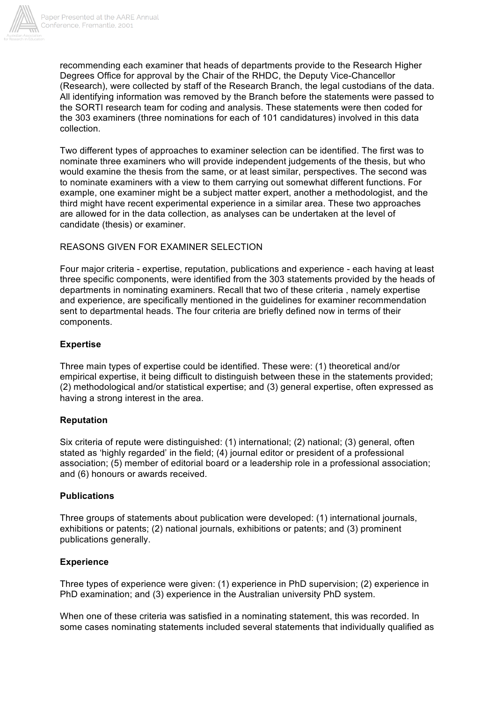

recommending each examiner that heads of departments provide to the Research Higher Degrees Office for approval by the Chair of the RHDC, the Deputy Vice-Chancellor (Research), were collected by staff of the Research Branch, the legal custodians of the data. All identifying information was removed by the Branch before the statements were passed to the SORTI research team for coding and analysis. These statements were then coded for the 303 examiners (three nominations for each of 101 candidatures) involved in this data collection.

Two different types of approaches to examiner selection can be identified. The first was to nominate three examiners who will provide independent judgements of the thesis, but who would examine the thesis from the same, or at least similar, perspectives. The second was to nominate examiners with a view to them carrying out somewhat different functions. For example, one examiner might be a subject matter expert, another a methodologist, and the third might have recent experimental experience in a similar area. These two approaches are allowed for in the data collection, as analyses can be undertaken at the level of candidate (thesis) or examiner.

## REASONS GIVEN FOR EXAMINER SELECTION

Four major criteria - expertise, reputation, publications and experience - each having at least three specific components, were identified from the 303 statements provided by the heads of departments in nominating examiners. Recall that two of these criteria , namely expertise and experience, are specifically mentioned in the guidelines for examiner recommendation sent to departmental heads. The four criteria are briefly defined now in terms of their components.

## **Expertise**

Three main types of expertise could be identified. These were: (1) theoretical and/or empirical expertise, it being difficult to distinguish between these in the statements provided; (2) methodological and/or statistical expertise; and (3) general expertise, often expressed as having a strong interest in the area.

### **Reputation**

Six criteria of repute were distinguished: (1) international; (2) national; (3) general, often stated as 'highly regarded' in the field; (4) journal editor or president of a professional association; (5) member of editorial board or a leadership role in a professional association; and (6) honours or awards received.

### **Publications**

Three groups of statements about publication were developed: (1) international journals, exhibitions or patents; (2) national journals, exhibitions or patents; and (3) prominent publications generally.

### **Experience**

Three types of experience were given: (1) experience in PhD supervision; (2) experience in PhD examination; and (3) experience in the Australian university PhD system.

When one of these criteria was satisfied in a nominating statement, this was recorded. In some cases nominating statements included several statements that individually qualified as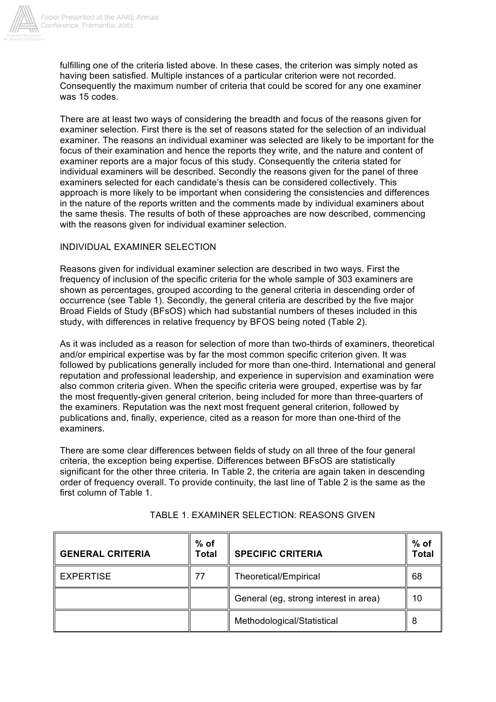

fulfilling one of the criteria listed above. In these cases, the criterion was simply noted as having been satisfied. Multiple instances of a particular criterion were not recorded. Consequently the maximum number of criteria that could be scored for any one examiner was 15 codes.

There are at least two ways of considering the breadth and focus of the reasons given for examiner selection. First there is the set of reasons stated for the selection of an individual examiner. The reasons an individual examiner was selected are likely to be important for the focus of their examination and hence the reports they write, and the nature and content of examiner reports are a major focus of this study. Consequently the criteria stated for individual examiners will be described. Secondly the reasons given for the panel of three examiners selected for each candidate's thesis can be considered collectively. This approach is more likely to be important when considering the consistencies and differences in the nature of the reports written and the comments made by individual examiners about the same thesis. The results of both of these approaches are now described, commencing with the reasons given for individual examiner selection.

## INDIVIDUAL EXAMINER SELECTION

Reasons given for individual examiner selection are described in two ways. First the frequency of inclusion of the specific criteria for the whole sample of 303 examiners are shown as percentages, grouped according to the general criteria in descending order of occurrence (see Table 1). Secondly, the general criteria are described by the five major Broad Fields of Study (BFsOS) which had substantial numbers of theses included in this study, with differences in relative frequency by BFOS being noted (Table 2).

As it was included as a reason for selection of more than two-thirds of examiners, theoretical and/or empirical expertise was by far the most common specific criterion given. It was followed by publications generally included for more than one-third. International and general reputation and professional leadership, and experience in supervision and examination were also common criteria given. When the specific criteria were grouped, expertise was by far the most frequently-given general criterion, being included for more than three-quarters of the examiners. Reputation was the next most frequent general criterion, followed by publications and, finally, experience, cited as a reason for more than one-third of the examiners.

There are some clear differences between fields of study on all three of the four general criteria, the exception being expertise. Differences between BFsOS are statistically significant for the other three criteria. In Table 2, the criteria are again taken in descending order of frequency overall. To provide continuity, the last line of Table 2 is the same as the first column of Table 1.

| <b>GENERAL CRITERIA</b> | $%$ of<br>Total | <b>SPECIFIC CRITERIA</b>              | $%$ of<br>Total |
|-------------------------|-----------------|---------------------------------------|-----------------|
| <b>EXPERTISE</b>        | 77              | <b>Theoretical/Empirical</b>          | 68              |
|                         |                 | General (eg, strong interest in area) | 10              |
|                         |                 | Methodological/Statistical            |                 |

TABLE 1. EXAMINER SELECTION: REASONS GIVEN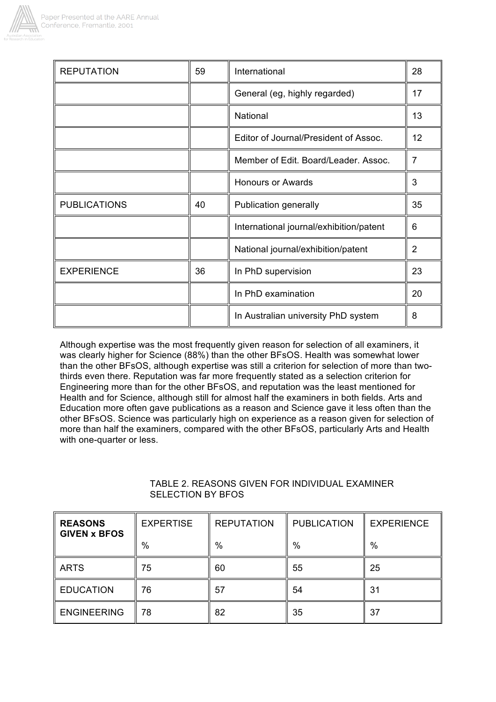

| <b>REPUTATION</b>   | 59 | International                           | 28             |
|---------------------|----|-----------------------------------------|----------------|
|                     |    | General (eg, highly regarded)           | 17             |
|                     |    | National                                | 13             |
|                     |    | Editor of Journal/President of Assoc.   | 12             |
|                     |    | Member of Edit. Board/Leader, Assoc.    | 7              |
|                     |    | <b>Honours or Awards</b>                | 3              |
| <b>PUBLICATIONS</b> | 40 | <b>Publication generally</b>            |                |
|                     |    | International journal/exhibition/patent | 6              |
|                     |    | National journal/exhibition/patent      | $\overline{2}$ |
| <b>EXPERIENCE</b>   | 36 | In PhD supervision                      | 23             |
|                     |    | In PhD examination                      | 20             |
|                     |    | In Australian university PhD system     | 8              |

Although expertise was the most frequently given reason for selection of all examiners, it was clearly higher for Science (88%) than the other BFsOS. Health was somewhat lower than the other BFsOS, although expertise was still a criterion for selection of more than twothirds even there. Reputation was far more frequently stated as a selection criterion for Engineering more than for the other BFsOS, and reputation was the least mentioned for Health and for Science, although still for almost half the examiners in both fields. Arts and Education more often gave publications as a reason and Science gave it less often than the other BFsOS. Science was particularly high on experience as a reason given for selection of more than half the examiners, compared with the other BFsOS, particularly Arts and Health with one-quarter or less.

| <b>REASONS</b><br><b>GIVEN x BFOS</b> | <b>EXPERTISE</b> | <b>REPUTATION</b> | <b>PUBLICATION</b> | <b>EXPERIENCE</b> |
|---------------------------------------|------------------|-------------------|--------------------|-------------------|
|                                       | %                | $\%$              | $\%$               | %                 |
| <b>ARTS</b>                           | 75               | 60                | 55                 | 25                |
| <b>EDUCATION</b>                      | 76               | 57                | 54                 | 31                |
| <b>ENGINEERING</b>                    | 78               | 82                | 35                 | 37                |

## TABLE 2. REASONS GIVEN FOR INDIVIDUAL EXAMINER SELECTION BY BFOS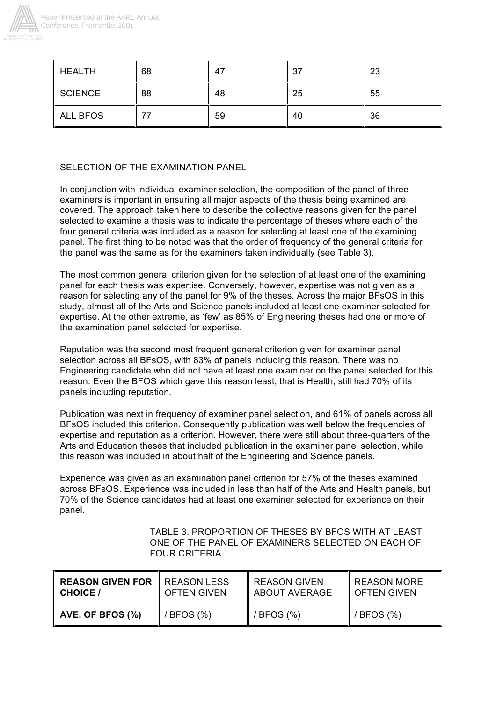

| <b>HEALTH</b>   | 68 | 47 | 37 | 23 |
|-----------------|----|----|----|----|
| SCIENCE         | 88 | 48 | 25 | 55 |
| <b>ALL BFOS</b> |    | 59 | 40 | 36 |

## SELECTION OF THE EXAMINATION PANEL

In conjunction with individual examiner selection, the composition of the panel of three examiners is important in ensuring all major aspects of the thesis being examined are covered. The approach taken here to describe the collective reasons given for the panel selected to examine a thesis was to indicate the percentage of theses where each of the four general criteria was included as a reason for selecting at least one of the examining panel. The first thing to be noted was that the order of frequency of the general criteria for the panel was the same as for the examiners taken individually (see Table 3).

The most common general criterion given for the selection of at least one of the examining panel for each thesis was expertise. Conversely, however, expertise was not given as a reason for selecting any of the panel for 9% of the theses. Across the major BFsOS in this study, almost all of the Arts and Science panels included at least one examiner selected for expertise. At the other extreme, as 'few' as 85% of Engineering theses had one or more of the examination panel selected for expertise.

Reputation was the second most frequent general criterion given for examiner panel selection across all BFsOS, with 83% of panels including this reason. There was no Engineering candidate who did not have at least one examiner on the panel selected for this reason. Even the BFOS which gave this reason least, that is Health, still had 70% of its panels including reputation.

Publication was next in frequency of examiner panel selection, and 61% of panels across all BFsOS included this criterion. Consequently publication was well below the frequencies of expertise and reputation as a criterion. However, there were still about three-quarters of the Arts and Education theses that included publication in the examiner panel selection, while this reason was included in about half of the Engineering and Science panels.

Experience was given as an examination panel criterion for 57% of the theses examined across BFsOS. Experience was included in less than half of the Arts and Health panels, but 70% of the Science candidates had at least one examiner selected for experience on their panel.

> TABLE 3. PROPORTION OF THESES BY BFOS WITH AT LEAST ONE OF THE PANEL OF EXAMINERS SELECTED ON EACH OF FOUR CRITERIA

| <b>REASON GIVEN FOR   REASON LESS</b> | <b>OFTEN GIVEN</b> | <b>REASON GIVEN</b>  | <b>REASON MORE</b> |
|---------------------------------------|--------------------|----------------------|--------------------|
| <b>CHOICE</b> /                       |                    | <b>ABOUT AVERAGE</b> | LOFTEN GIVEN       |
| AVE. OF BFOS (%)                      | $BFOS$ $(\%)$      | / BFOS (%)           | $/$ BFOS $(\%)$    |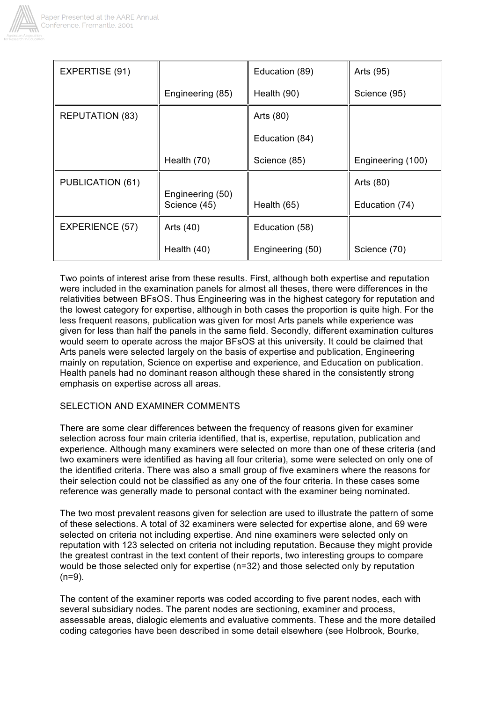

| EXPERTISE (91)         |                                  | Education (89)   | Arts (95)         |
|------------------------|----------------------------------|------------------|-------------------|
|                        | Engineering (85)                 | Health (90)      | Science (95)      |
| <b>REPUTATION (83)</b> |                                  | Arts (80)        |                   |
|                        |                                  | Education (84)   |                   |
|                        | Health (70)                      | Science (85)     | Engineering (100) |
| PUBLICATION (61)       |                                  |                  | Arts (80)         |
|                        | Engineering (50)<br>Science (45) | Health (65)      | Education (74)    |
| <b>EXPERIENCE (57)</b> | Arts (40)                        | Education (58)   |                   |
|                        | Health (40)                      | Engineering (50) | Science (70)      |

Two points of interest arise from these results. First, although both expertise and reputation were included in the examination panels for almost all theses, there were differences in the relativities between BFsOS. Thus Engineering was in the highest category for reputation and the lowest category for expertise, although in both cases the proportion is quite high. For the less frequent reasons, publication was given for most Arts panels while experience was given for less than half the panels in the same field. Secondly, different examination cultures would seem to operate across the major BFsOS at this university. It could be claimed that Arts panels were selected largely on the basis of expertise and publication, Engineering mainly on reputation, Science on expertise and experience, and Education on publication. Health panels had no dominant reason although these shared in the consistently strong emphasis on expertise across all areas.

## SELECTION AND EXAMINER COMMENTS

There are some clear differences between the frequency of reasons given for examiner selection across four main criteria identified, that is, expertise, reputation, publication and experience. Although many examiners were selected on more than one of these criteria (and two examiners were identified as having all four criteria), some were selected on only one of the identified criteria. There was also a small group of five examiners where the reasons for their selection could not be classified as any one of the four criteria. In these cases some reference was generally made to personal contact with the examiner being nominated.

The two most prevalent reasons given for selection are used to illustrate the pattern of some of these selections. A total of 32 examiners were selected for expertise alone, and 69 were selected on criteria not including expertise. And nine examiners were selected only on reputation with 123 selected on criteria not including reputation. Because they might provide the greatest contrast in the text content of their reports, two interesting groups to compare would be those selected only for expertise (n=32) and those selected only by reputation  $(n=9)$ .

The content of the examiner reports was coded according to five parent nodes, each with several subsidiary nodes. The parent nodes are sectioning, examiner and process, assessable areas, dialogic elements and evaluative comments. These and the more detailed coding categories have been described in some detail elsewhere (see Holbrook, Bourke,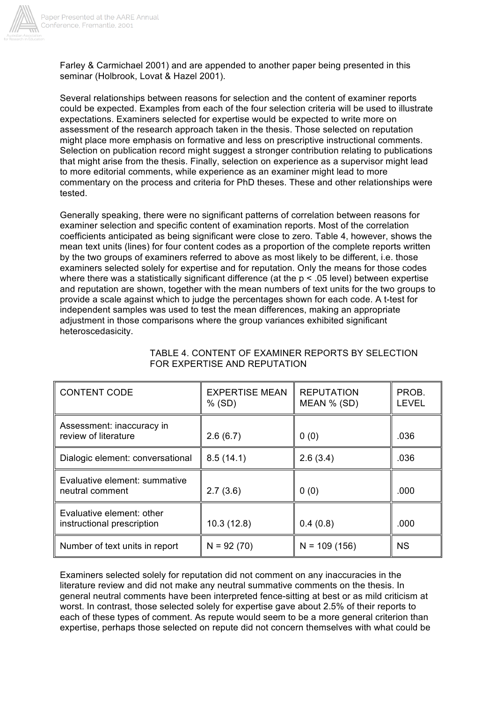

Farley & Carmichael 2001) and are appended to another paper being presented in this seminar (Holbrook, Lovat & Hazel 2001).

Several relationships between reasons for selection and the content of examiner reports could be expected. Examples from each of the four selection criteria will be used to illustrate expectations. Examiners selected for expertise would be expected to write more on assessment of the research approach taken in the thesis. Those selected on reputation might place more emphasis on formative and less on prescriptive instructional comments. Selection on publication record might suggest a stronger contribution relating to publications that might arise from the thesis. Finally, selection on experience as a supervisor might lead to more editorial comments, while experience as an examiner might lead to more commentary on the process and criteria for PhD theses. These and other relationships were tested.

Generally speaking, there were no significant patterns of correlation between reasons for examiner selection and specific content of examination reports. Most of the correlation coefficients anticipated as being significant were close to zero. Table 4, however, shows the mean text units (lines) for four content codes as a proportion of the complete reports written by the two groups of examiners referred to above as most likely to be different, i.e. those examiners selected solely for expertise and for reputation. Only the means for those codes where there was a statistically significant difference (at the  $p < .05$  level) between expertise and reputation are shown, together with the mean numbers of text units for the two groups to provide a scale against which to judge the percentages shown for each code. A t-test for independent samples was used to test the mean differences, making an appropriate adjustment in those comparisons where the group variances exhibited significant heteroscedasicity.

| <b>CONTENT CODE</b>                                     | <b>EXPERTISE MEAN</b><br>$%$ (SD) | <b>REPUTATION</b><br>MEAN % (SD) | PROB.<br><b>LEVEL</b> |
|---------------------------------------------------------|-----------------------------------|----------------------------------|-----------------------|
| Assessment: inaccuracy in<br>review of literature       | 2.6(6.7)                          | 0(0)                             | .036                  |
| Dialogic element: conversational                        | 8.5(14.1)                         | 2.6(3.4)                         | .036                  |
| Evaluative element: summative<br>neutral comment        | 2.7(3.6)                          | 0(0)                             | .000                  |
| Evaluative element: other<br>instructional prescription | 10.3(12.8)                        | 0.4(0.8)                         | .000                  |
| Number of text units in report                          | $N = 92(70)$                      | $N = 109(156)$                   | <b>NS</b>             |

### TABLE 4. CONTENT OF EXAMINER REPORTS BY SELECTION FOR EXPERTISE AND REPUTATION

Examiners selected solely for reputation did not comment on any inaccuracies in the literature review and did not make any neutral summative comments on the thesis. In general neutral comments have been interpreted fence-sitting at best or as mild criticism at worst. In contrast, those selected solely for expertise gave about 2.5% of their reports to each of these types of comment. As repute would seem to be a more general criterion than expertise, perhaps those selected on repute did not concern themselves with what could be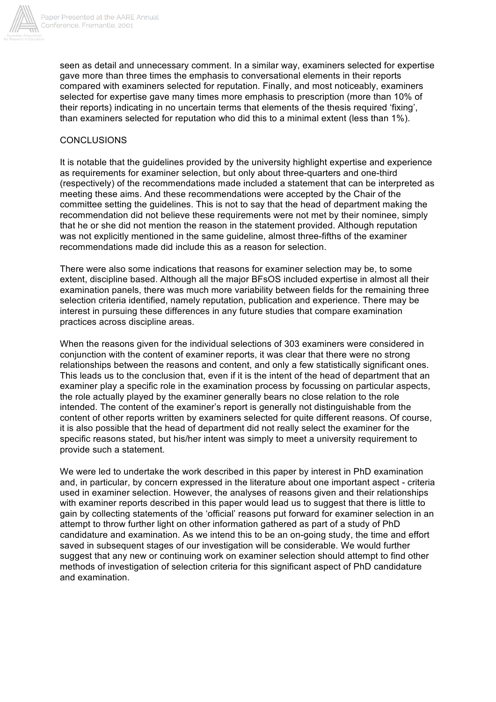

seen as detail and unnecessary comment. In a similar way, examiners selected for expertise gave more than three times the emphasis to conversational elements in their reports compared with examiners selected for reputation. Finally, and most noticeably, examiners selected for expertise gave many times more emphasis to prescription (more than 10% of their reports) indicating in no uncertain terms that elements of the thesis required 'fixing', than examiners selected for reputation who did this to a minimal extent (less than 1%).

### **CONCLUSIONS**

It is notable that the guidelines provided by the university highlight expertise and experience as requirements for examiner selection, but only about three-quarters and one-third (respectively) of the recommendations made included a statement that can be interpreted as meeting these aims. And these recommendations were accepted by the Chair of the committee setting the guidelines. This is not to say that the head of department making the recommendation did not believe these requirements were not met by their nominee, simply that he or she did not mention the reason in the statement provided. Although reputation was not explicitly mentioned in the same guideline, almost three-fifths of the examiner recommendations made did include this as a reason for selection.

There were also some indications that reasons for examiner selection may be, to some extent, discipline based. Although all the major BFsOS included expertise in almost all their examination panels, there was much more variability between fields for the remaining three selection criteria identified, namely reputation, publication and experience. There may be interest in pursuing these differences in any future studies that compare examination practices across discipline areas.

When the reasons given for the individual selections of 303 examiners were considered in conjunction with the content of examiner reports, it was clear that there were no strong relationships between the reasons and content, and only a few statistically significant ones. This leads us to the conclusion that, even if it is the intent of the head of department that an examiner play a specific role in the examination process by focussing on particular aspects, the role actually played by the examiner generally bears no close relation to the role intended. The content of the examiner's report is generally not distinguishable from the content of other reports written by examiners selected for quite different reasons. Of course, it is also possible that the head of department did not really select the examiner for the specific reasons stated, but his/her intent was simply to meet a university requirement to provide such a statement.

We were led to undertake the work described in this paper by interest in PhD examination and, in particular, by concern expressed in the literature about one important aspect - criteria used in examiner selection. However, the analyses of reasons given and their relationships with examiner reports described in this paper would lead us to suggest that there is little to gain by collecting statements of the 'official' reasons put forward for examiner selection in an attempt to throw further light on other information gathered as part of a study of PhD candidature and examination. As we intend this to be an on-going study, the time and effort saved in subsequent stages of our investigation will be considerable. We would further suggest that any new or continuing work on examiner selection should attempt to find other methods of investigation of selection criteria for this significant aspect of PhD candidature and examination.